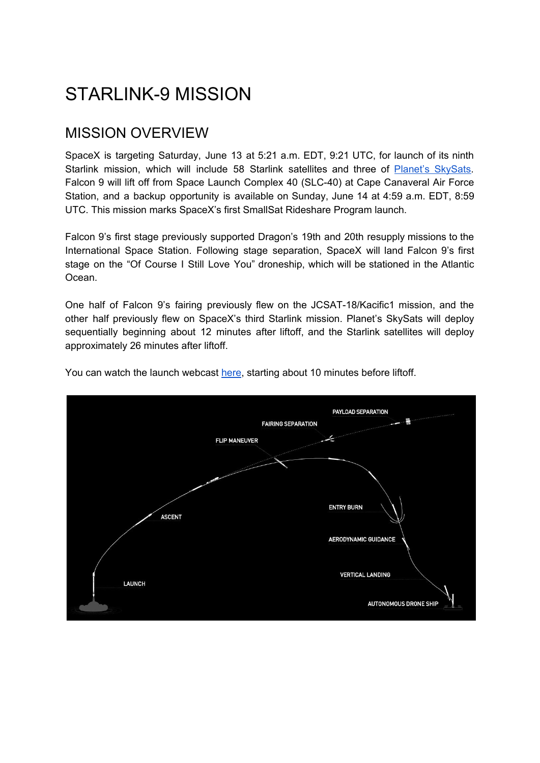# STARLINK-9 MISSION

## MISSION OVERVIEW

SpaceX is targeting Saturday, June 13 at 5:21 a.m. EDT, 9:21 UTC, for launch of its ninth Starlink mission, which will include 58 Starlink satellites and three of Planet's [SkySats](https://www.planet.com/products/hi-res-monitoring/). Falcon 9 will lift off from Space Launch Complex 40 (SLC-40) at Cape Canaveral Air Force Station, and a backup opportunity is available on Sunday, June 14 at 4:59 a.m. EDT, 8:59 UTC. This mission marks SpaceX's first SmallSat Rideshare Program launch.

Falcon 9's first stage previously supported Dragon's 19th and 20th resupply missions to the International Space Station. Following stage separation, SpaceX will land Falcon 9's first stage on the "Of Course I Still Love You" droneship, which will be stationed in the Atlantic Ocean.

One half of Falcon 9's fairing previously flew on the JCSAT-18/Kacific1 mission, and the other half previously flew on SpaceX's third Starlink mission. Planet's SkySats will deploy sequentially beginning about 12 minutes after liftoff, and the Starlink satellites will deploy approximately 26 minutes after liftoff.



You can watch the launch webcast [here](https://www.youtube.com/watch?v=8riKQXChPGg), starting about 10 minutes before liftoff.